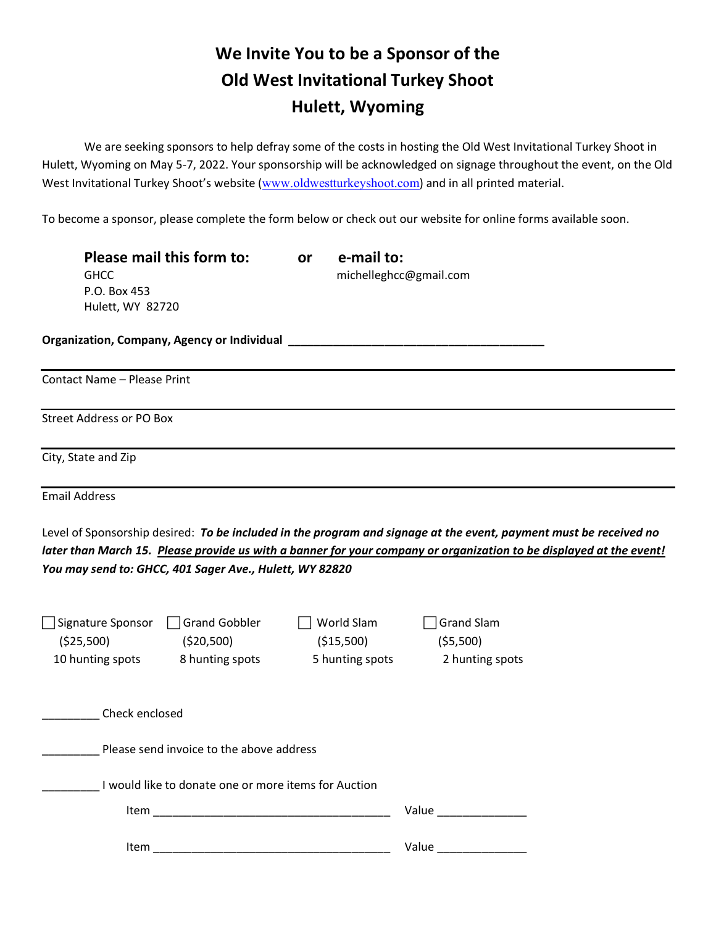## **We Invite You to be a Sponsor of the Old West Invitational Turkey Shoot Hulett, Wyoming**

We are seeking sponsors to help defray some of the costs in hosting the Old West Invitational Turkey Shoot in Hulett, Wyoming on May 5-7, 2022. Your sponsorship will be acknowledged on signage throughout the event, on the Old West Invitational Turkey Shoot's website ([www.oldwestturkeyshoot.com](http://www.oldwestturkeyshoot.com/)) and in all printed material.

To become a sponsor, please complete the form below or check out our website for online forms available soon.

| Please mail this form to:<br><b>GHCC</b><br>P.O. Box 453<br>Hulett, WY 82720                               | or | e-mail to:                                   | michelleghcc@gmail.com                                                                                                                                                                                                                   |
|------------------------------------------------------------------------------------------------------------|----|----------------------------------------------|------------------------------------------------------------------------------------------------------------------------------------------------------------------------------------------------------------------------------------------|
| <b>Organization, Company, Agency or Individual</b>                                                         |    |                                              |                                                                                                                                                                                                                                          |
| <b>Contact Name - Please Print</b>                                                                         |    |                                              |                                                                                                                                                                                                                                          |
| <b>Street Address or PO Box</b>                                                                            |    |                                              |                                                                                                                                                                                                                                          |
| City, State and Zip                                                                                        |    |                                              |                                                                                                                                                                                                                                          |
| <b>Email Address</b>                                                                                       |    |                                              |                                                                                                                                                                                                                                          |
| You may send to: GHCC, 401 Sager Ave., Hulett, WY 82820                                                    |    |                                              | Level of Sponsorship desired: To be included in the program and signage at the event, payment must be received no<br>later than March 15. Please provide us with a banner for your company or organization to be displayed at the event! |
| <b>Grand Gobbler</b><br>Signature Sponsor<br>(525,500)<br>(520,500)<br>10 hunting spots<br>8 hunting spots |    | World Slam<br>( \$15,500)<br>5 hunting spots | <b>Grand Slam</b><br>( \$5,500)<br>2 hunting spots                                                                                                                                                                                       |
| Check enclosed                                                                                             |    |                                              |                                                                                                                                                                                                                                          |
| Please send invoice to the above address                                                                   |    |                                              |                                                                                                                                                                                                                                          |
| I would like to donate one or more items for Auction                                                       |    |                                              |                                                                                                                                                                                                                                          |
|                                                                                                            |    |                                              | Value <b>Maria Communist Communist Communist Communist Communist Communist Communist Communist Communist Communist Communist Communist Communist Communist Communist Communist Communist Communist Communist Communist Communist</b>     |
|                                                                                                            |    |                                              |                                                                                                                                                                                                                                          |